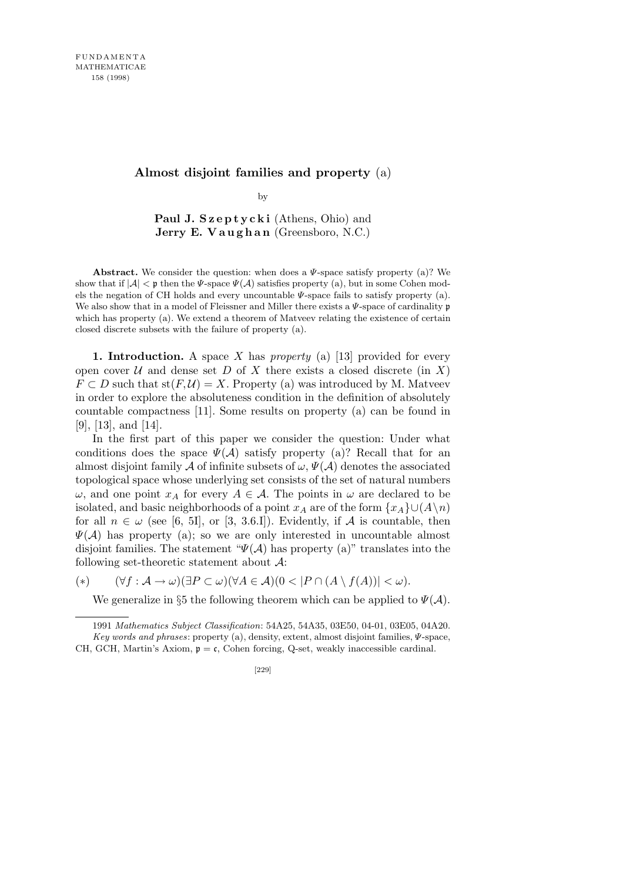## **Almost disjoint families and property** (a)

by

Paul J. Szeptycki (Athens, Ohio) and **Jerry E. Vaughan** (Greensboro, N.C.)

**Abstract.** We consider the question: when does a *Ψ*-space satisfy property (a)? We show that if  $|\mathcal{A}| < p$  then the *Ψ*-space  $\Psi(\mathcal{A})$  satisfies property (a), but in some Cohen models the negation of CH holds and every uncountable *Ψ*-space fails to satisfy property (a). We also show that in a model of Fleissner and Miller there exists a *Ψ*-space of cardinality p which has property (a). We extend a theorem of Matveev relating the existence of certain closed discrete subsets with the failure of property (a).

**1. Introduction.** A space *X* has *property* (a) [13] provided for every open cover  $U$  and dense set  $D$  of  $X$  there exists a closed discrete (in  $X$ )  $F \subset D$  such that  $st(F, U) = X$ . Property (a) was introduced by M. Matveev in order to explore the absoluteness condition in the definition of absolutely countable compactness [11]. Some results on property (a) can be found in [9], [13], and [14].

In the first part of this paper we consider the question: Under what conditions does the space  $\Psi(\mathcal{A})$  satisfy property (a)? Recall that for an almost disjoint family *A* of infinite subsets of  $\omega$ ,  $\Psi(\mathcal{A})$  denotes the associated topological space whose underlying set consists of the set of natural numbers *ω*, and one point *x<sub>A</sub>* for every *A*  $∈$  *A*. The points in *ω* are declared to be isolated, and basic neighborhoods of a point  $x_A$  are of the form  $\{x_A\} \cup (A \setminus n)$ for all  $n \in \omega$  (see [6, 5I], or [3, 3.6.I]). Evidently, if A is countable, then *Ψ*(*A*) has property (a); so we are only interested in uncountable almost disjoint families. The statement " $\Psi(\mathcal{A})$  has property (a)" translates into the following set-theoretic statement about *A*:

(\*)  $(\forall f : A \rightarrow \omega)(\exists P \subset \omega)(\forall A \in A)(0 < |P \cap (A \setminus f(A))| < \omega).$ 

We generalize in §5 the following theorem which can be applied to  $\Psi(\mathcal{A})$ .

<sup>1991</sup> *Mathematics Subject Classification*: 54A25, 54A35, 03E50, 04-01, 03E05, 04A20. *Key words and phrases*: property (a), density, extent, almost disjoint families, *Ψ*-space, CH, GCH, Martin's Axiom,  $\mathfrak{p} = \mathfrak{c}$ , Cohen forcing, Q-set, weakly inaccessible cardinal.

<sup>[229]</sup>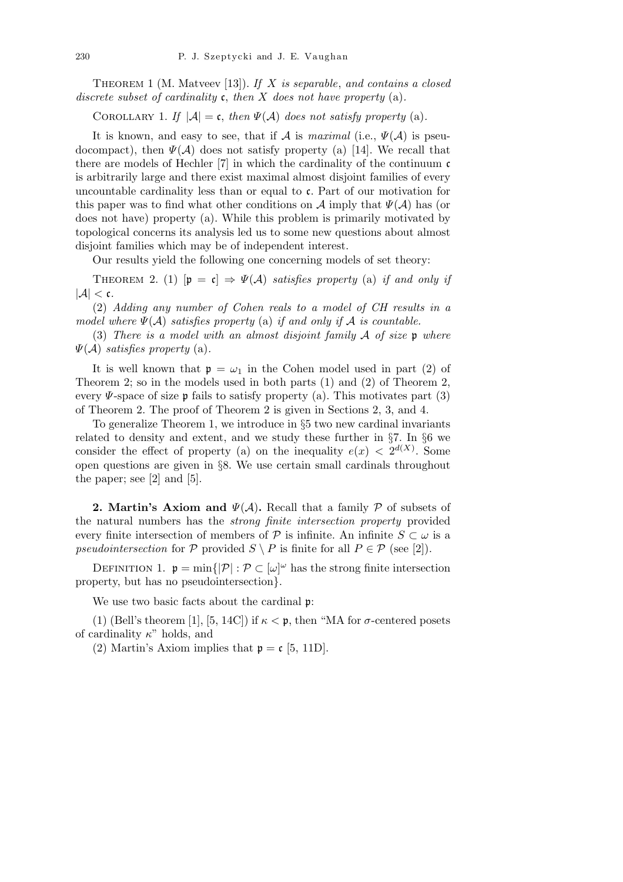Theorem 1 (M. Matveev [13]). *If X is separable*, *and contains a closed discrete subset of cardinality* c, *then X does not have property* (a)*.*

COROLLARY 1. *If*  $|\mathcal{A}| = \mathfrak{c}$ , *then*  $\Psi(\mathcal{A})$  *does not satisfy property* (a).

It is known, and easy to see, that if *A* is *maximal* (i.e.,  $\Psi(\mathcal{A})$  is pseudocompact), then  $\Psi(\mathcal{A})$  does not satisfy property (a) [14]. We recall that there are models of Hechler [7] in which the cardinality of the continuum c is arbitrarily large and there exist maximal almost disjoint families of every uncountable cardinality less than or equal to c. Part of our motivation for this paper was to find what other conditions on  $\mathcal A$  imply that  $\Psi(\mathcal A)$  has (or does not have) property (a). While this problem is primarily motivated by topological concerns its analysis led us to some new questions about almost disjoint families which may be of independent interest.

Our results yield the following one concerning models of set theory:

THEOREM 2. (1)  $[\mathfrak{p} = \mathfrak{c}] \Rightarrow \Psi(\mathcal{A})$  *satisfies property* (a) *if and only if*  $|A| < c$ .

(2) *Adding any number of Cohen reals to a model of CH results in a model where*  $\Psi(A)$  *satisfies property* (a) *if and only if*  $A$  *is countable.* 

(3) *There is a model with an almost disjoint family A of size* p *where Ψ*(*A*) *satisfies property* (a)*.*

It is well known that  $p = \omega_1$  in the Cohen model used in part (2) of Theorem 2; so in the models used in both parts (1) and (2) of Theorem 2, every  $\Psi$ -space of size p fails to satisfy property (a). This motivates part (3) of Theorem 2. The proof of Theorem 2 is given in Sections 2, 3, and 4.

To generalize Theorem 1, we introduce in *§*5 two new cardinal invariants related to density and extent, and we study these further in *§*7. In *§*6 we consider the effect of property (a) on the inequality  $e(x) < 2^{d(X)}$ . Some open questions are given in *§*8. We use certain small cardinals throughout the paper; see [2] and [5].

**2. Martin's Axiom and** *Ψ*(*A*)**.** Recall that a family *P* of subsets of the natural numbers has the *strong finite intersection property* provided every finite intersection of members of  $\mathcal{P}$  is infinite. An infinite  $S \subset \omega$  is a *pseudointersection* for  $P$  provided  $S \setminus P$  is finite for all  $P \in \mathcal{P}$  (see [2]).

DEFINITION 1.  $\mathfrak{p} = \min\{|\mathcal{P}| : \mathcal{P} \subset [\omega]^\omega \text{ has the strong finite intersection}\}$ property, but has no pseudointersection*}*.

We use two basic facts about the cardinal  $\mathfrak{p}$ :

(1) (Bell's theorem [1], [5, 14C]) if  $\kappa < \mathfrak{p}$ , then "MA for  $\sigma$ -centered posets of cardinality *κ*" holds, and

(2) Martin's Axiom implies that  $p = c$  [5, 11D].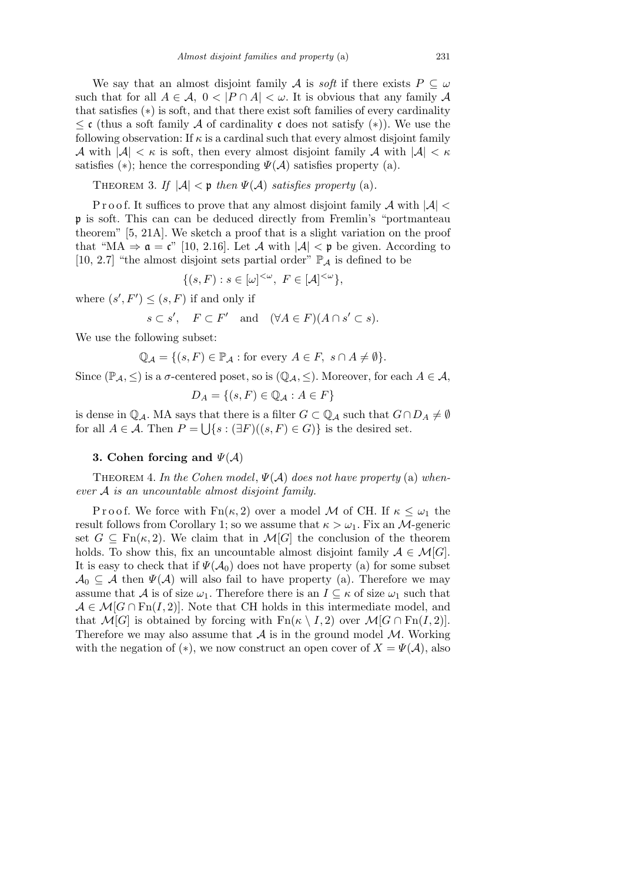We say that an almost disjoint family *A* is *soft* if there exists  $P \subseteq \omega$ such that for all  $A \in \mathcal{A}$ ,  $0 < |P \cap A| < \omega$ . It is obvious that any family  $\mathcal A$ that satisfies (*∗*) is soft, and that there exist soft families of every cardinality *≤* c (thus a soft family *A* of cardinality c does not satisfy (*∗*)). We use the following observation: If  $\kappa$  is a cardinal such that every almost disjoint family *A* with  $|A| < \kappa$  is soft, then every almost disjoint family *A* with  $|A| < \kappa$ satisfies (\*); hence the corresponding  $\Psi(\mathcal{A})$  satisfies property (a).

THEOREM 3. If  $|\mathcal{A}| < p$  then  $\Psi(\mathcal{A})$  satisfies property (a).

P r o o f. It suffices to prove that any almost disjoint family *A* with *|A| <* p is soft. This can can be deduced directly from Fremlin's "portmanteau theorem" [5, 21A]. We sketch a proof that is a slight variation on the proof that "MA  $\Rightarrow \mathfrak{a} = \mathfrak{c}$ " [10, 2.16]. Let A with  $|\mathcal{A}| < \mathfrak{p}$  be given. According to [10, 2.7] "the almost disjoint sets partial order"  $\mathbb{P}_{\mathcal{A}}$  is defined to be

$$
\{(s,F) : s \in [\omega]^{<\omega}, \ F \in [\mathcal{A}]^{<\omega}\},\
$$

where  $(s', F') \leq (s, F)$  if and only if

$$
s \subset s'
$$
,  $F \subset F'$  and  $(\forall A \in F)(A \cap s' \subset s)$ .

We use the following subset:

$$
\mathbb{Q}_{\mathcal{A}} = \{ (s, F) \in \mathbb{P}_{\mathcal{A}} : \text{for every } A \in F, \ s \cap A \neq \emptyset \}.
$$

Since  $(\mathbb{P}_{\mathcal{A}}, \leq)$  is a *σ*-centered poset, so is  $(\mathbb{Q}_{\mathcal{A}}, \leq)$ . Moreover, for each  $A \in \mathcal{A}$ ,

$$
D_A = \{(s, F) \in \mathbb{Q}_A : A \in F\}
$$

is dense in  $\mathbb{Q}_A$ . MA says that there is a filter  $G \subset \mathbb{Q}_A$  such that  $G \cap D_A \neq \emptyset$ for all  $A \in \mathcal{A}$ . Then  $P = \bigcup \{ s : (\exists F)((s, F) \in G) \}$  is the desired set.

## **3. Cohen forcing and** *Ψ*(*A*)

THEOREM 4. In the Cohen model,  $\Psi(\mathcal{A})$  does not have property (a) when*ever A is an uncountable almost disjoint family.*

Proof. We force with  $Fn(\kappa, 2)$  over a model *M* of CH. If  $\kappa \leq \omega_1$  the result follows from Corollary 1; so we assume that  $\kappa > \omega_1$ . Fix an *M*-generic set  $G \subseteq \text{Fn}(\kappa, 2)$ . We claim that in  $\mathcal{M}[G]$  the conclusion of the theorem holds. To show this, fix an uncountable almost disjoint family  $A \in \mathcal{M}[G]$ . It is easy to check that if  $\Psi(\mathcal{A}_0)$  does not have property (a) for some subset  $A_0 \subseteq A$  then  $\Psi(A)$  will also fail to have property (a). Therefore we may assume that *A* is of size  $\omega_1$ . Therefore there is an  $I \subseteq \kappa$  of size  $\omega_1$  such that  $A \in \mathcal{M}[G \cap \mathrm{Fn}(I,2)]$ . Note that CH holds in this intermediate model, and that  $\mathcal{M}[G]$  is obtained by forcing with  $\text{Fn}(\kappa \setminus I, 2)$  over  $\mathcal{M}[G \cap \text{Fn}(I, 2)]$ . Therefore we may also assume that  $A$  is in the ground model  $M$ . Working with the negation of (\*), we now construct an open cover of  $X = \Psi(\mathcal{A})$ , also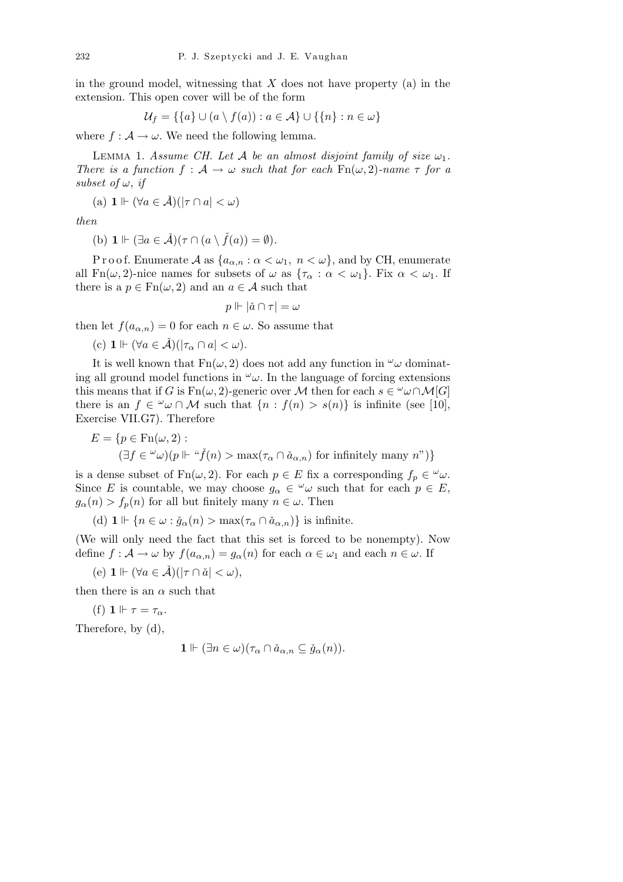in the ground model, witnessing that *X* does not have property (a) in the extension. This open cover will be of the form

$$
\mathcal{U}_f = \{\{a\} \cup (a \setminus f(a)) : a \in \mathcal{A}\} \cup \{\{n\} : n \in \omega\}
$$

where  $f : A \to \omega$ . We need the following lemma.

LEMMA 1. *Assume CH. Let A be an almost disjoint family of size*  $\omega_1$ . *There is a function*  $f : A \to \omega$  *such that for each*  $\text{Fn}(\omega, 2)$ *-name*  $\tau$  *for a subset of*  $\omega$ , *if* 

(a) 
$$
\mathbf{1} \Vdash (\forall a \in \check{\mathcal{A}})(|\tau \cap a| < \omega)
$$

*then*

(b) 
$$
\mathbf{1} \Vdash (\exists a \in \check{\mathcal{A}})(\tau \cap (a \setminus \check{f}(a)) = \emptyset).
$$

P r o o f. Enumerate  $A$  as  $\{a_{\alpha,n} : \alpha < \omega_1, n < \omega\}$ , and by CH, enumerate all  $Fn(\omega, 2)$ -nice names for subsets of  $\omega$  as  $\{\tau_\alpha : \alpha < \omega_1\}$ . Fix  $\alpha < \omega_1$ . If there is a  $p \in \text{Fn}(\omega, 2)$  and an  $a \in \mathcal{A}$  such that

$$
p \Vdash |\check{a} \cap \tau| = \omega
$$

then let  $f(a_{\alpha,n}) = 0$  for each  $n \in \omega$ . So assume that

(c) 
$$
\mathbf{1} \Vdash (\forall a \in \check{\mathcal{A}})(|\tau_{\alpha} \cap a| < \omega).
$$

It is well known that  $Fn(\omega, 2)$  does not add any function in  $\omega$  dominating all ground model functions in  $\omega$ . In the language of forcing extensions this means that if *G* is  $Fn(\omega, 2)$ -generic over *M* then for each  $s \in \omega \cap M[G]$ there is an  $f \in \omega \cap M$  such that  $\{n : f(n) > s(n)\}\$ is infinite (see [10], Exercise VII.G7). Therefore

$$
E = \{ p \in \operatorname{Fn}(\omega, 2) : \newline (\exists f \in \omega) (p \Vdash \text{``} \check{f}(n) > \max(\tau_{\alpha} \cap \check{a}_{\alpha, n}) \text{ for infinitely many } n\text{''}) \}
$$

is a dense subset of  $Fn(\omega, 2)$ . For each  $p \in E$  fix a corresponding  $f_p \in \omega_\omega$ . Since *E* is countable, we may choose  $g_{\alpha} \in \omega$  such that for each  $p \in E$ ,  $g_{\alpha}(n) > f_{n}(n)$  for all but finitely many  $n \in \omega$ . Then

(d)  $\mathbf{1} \Vdash \{n \in \omega : \check{g}_{\alpha}(n) > \max(\tau_{\alpha} \cap \check{a}_{\alpha,n})\}$  is infinite.

(We will only need the fact that this set is forced to be nonempty). Now define  $f : \mathcal{A} \to \omega$  by  $f(a_{\alpha,n}) = g_{\alpha}(n)$  for each  $\alpha \in \omega_1$  and each  $n \in \omega$ . If

 $(e)$  **1**  $\Vdash (\forall a \in \check{\mathcal{A}})(|\tau \cap \check{a}| < \omega),$ 

then there is an  $\alpha$  such that

(f) **1**  $\Vdash \tau = \tau_\alpha$ .

Therefore, by (d),

$$
\mathbf{1} \Vdash (\exists n \in \omega)(\tau_{\alpha} \cap \check{a}_{\alpha,n} \subseteq \check{g}_{\alpha}(n)).
$$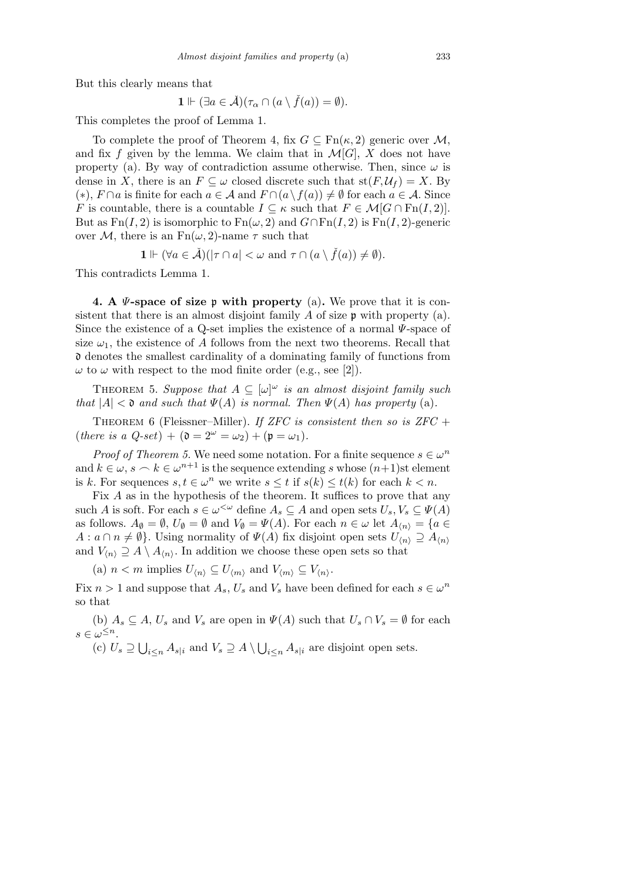But this clearly means that

$$
\mathbf{1} \Vdash (\exists a \in \check{\mathcal{A}})(\tau_\alpha \cap (a \setminus \check{f}(a)) = \emptyset).
$$

This completes the proof of Lemma 1.

To complete the proof of Theorem 4, fix  $G \subseteq \text{Fn}(\kappa, 2)$  generic over M, and fix  $f$  given by the lemma. We claim that in  $\mathcal{M}[G]$ ,  $X$  does not have property (a). By way of contradiction assume otherwise. Then, since  $\omega$  is dense in *X*, there is an  $F \subseteq \omega$  closed discrete such that  $st(F, U_f) = X$ . By  $(*), F \cap a$  is finite for each  $a \in \mathcal{A}$  and  $F \cap (a \setminus f(a)) \neq \emptyset$  for each  $a \in \mathcal{A}$ . Since *F* is countable, there is a countable  $I \subseteq \kappa$  such that  $F \in \mathcal{M}[G \cap \mathrm{Fn}(I, 2)]$ . But as  $Fn(I, 2)$  is isomorphic to  $Fn(\omega, 2)$  and  $G \cap Fn(I, 2)$  is  $Fn(I, 2)$ -generic over *M*, there is an  $Fn(\omega, 2)$ -name  $\tau$  such that

$$
\mathbf{1} \Vdash (\forall a \in \check{\mathcal{A}})(|\tau \cap a| < \omega \text{ and } \tau \cap (a \setminus \check{f}(a)) \neq \emptyset).
$$

This contradicts Lemma 1.

**4. A** *Ψ***-space of size** p **with property** (a)**.** We prove that it is consistent that there is an almost disjoint family *A* of size p with property (a). Since the existence of a Q-set implies the existence of a normal *Ψ*-space of size  $\omega_1$ , the existence of *A* follows from the next two theorems. Recall that d denotes the smallest cardinality of a dominating family of functions from  $\omega$  to  $\omega$  with respect to the mod finite order (e.g., see [2]).

THEOREM 5. Suppose that  $A \subseteq [\omega]^\omega$  is an almost disjoint family such *that*  $|A| < \mathfrak{d}$  *and such that*  $\Psi(A)$  *is normal. Then*  $\Psi(A)$  *has property* (a).

Theorem 6 (Fleissner–Miller). *If ZFC is consistent then so is ZFC* +  $(here \text{ is a } Q\text{-}set) + (\mathfrak{d} = 2^{\omega} = \omega_2) + (\mathfrak{p} = \omega_1).$ 

*Proof of Theorem 5.* We need some notation. For a finite sequence  $s \in \omega^n$ and  $k \in \omega$ ,  $s \sim k \in \omega^{n+1}$  is the sequence extending *s* whose  $(n+1)$ st element is *k*. For sequences  $s, t \in \omega^n$  we write  $s \leq t$  if  $s(k) \leq t(k)$  for each  $k < n$ .

Fix *A* as in the hypothesis of the theorem. It suffices to prove that any such *A* is soft. For each  $s \in \omega^{\lt \omega}$  define  $A_s \subseteq A$  and open sets  $U_s, V_s \subseteq \Psi(A)$ as follows.  $A_{\emptyset} = \emptyset$ ,  $U_{\emptyset} = \emptyset$  and  $V_{\emptyset} = \Psi(A)$ . For each  $n \in \omega$  let  $A_{\langle n \rangle} = \{a \in A\}$  $A: a \cap n \neq \emptyset$ . Using normality of  $\Psi(A)$  fix disjoint open sets  $U_{\langle n \rangle} \supseteq A_{\langle n \rangle}$ and  $V_{\langle n \rangle} \supseteq A \setminus A_{\langle n \rangle}$ . In addition we choose these open sets so that

(a)  $n < m$  implies  $U_{\langle n \rangle} \subseteq U_{\langle m \rangle}$  and  $V_{\langle m \rangle} \subseteq V_{\langle n \rangle}$ .

Fix  $n > 1$  and suppose that  $A_s$ ,  $U_s$  and  $V_s$  have been defined for each  $s \in \omega^n$ so that

(b)  $A_s \subseteq A$ ,  $U_s$  and  $V_s$  are open in  $\Psi(A)$  such that  $U_s \cap V_s = \emptyset$  for each  $s \in \omega^{\leq n}$ . S S

(c) *U<sup>s</sup> ⊇*  $i \leq n$   $A_{s|i}$  and  $V_s \supseteq A \setminus$  $i \leq n$  *A*<sub>*s*</sub> $|i$  are disjoint open sets.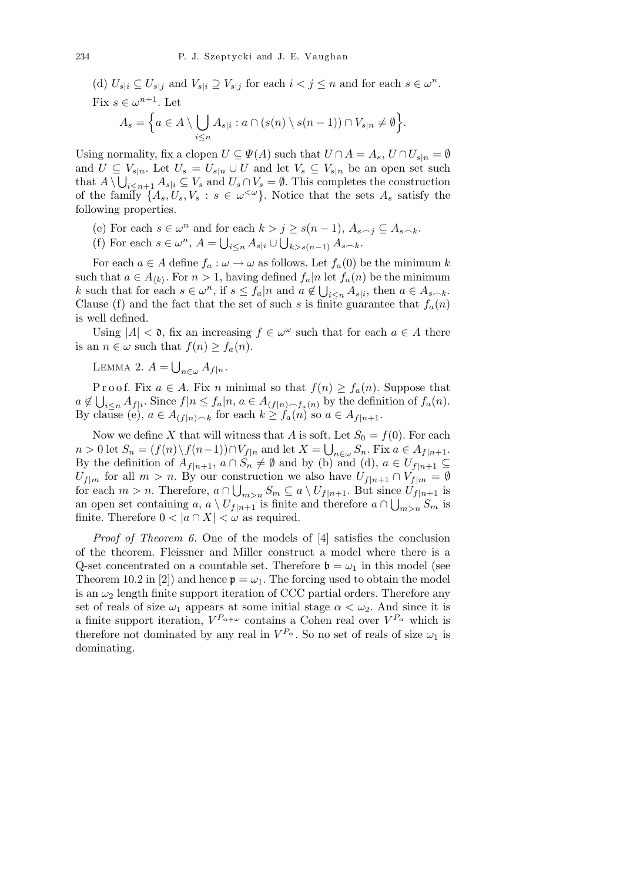(d)  $U_{s|i} \subseteq U_{s|j}$  and  $V_{s|i} \supseteq V_{s|j}$  for each  $i < j \leq n$  and for each  $s \in \omega^n$ . Fix  $s \in \omega^{n+1}$ . Let

$$
A_s = \Big\{ a \in A \setminus \bigcup_{i \leq n} A_{s|i} : a \cap (s(n) \setminus s(n-1)) \cap V_{s|n} \neq \emptyset \Big\}.
$$

Using normality, fix a clopen  $U \subseteq \Psi(A)$  such that  $U \cap A = A_s$ ,  $U \cap U_{s|n} = \emptyset$ and  $U \subseteq V_{s|n}$ . Let  $U_s = U_{s|n} \cup U$  and let  $V_s \subseteq V_{s|n}$  be an open set such that  $A \setminus \bigcup_{i \leq n+1} A_{s|i} \subseteq V_s$  and  $U_s \cap V_s = \emptyset$ . This completes the construction of the family  $\{A_s, U_s, V_s : s \in \omega^{\langle \omega \rangle}\}\$ . Notice that the sets  $A_s$  satisfy the following properties.

- (e) For each  $s \in \omega^n$  and for each  $k > j \geq s(n-1)$ ,  $A_{s \frown j} \subseteq A_{s \frown k}$ .
- (f) For each  $s \in \omega^n$ ,  $A = \bigcup_{i \leq n} A_{s|i} \cup \bigcup_{k>s(n-1)} A_{s-k}$ .

For each  $a \in A$  define  $f_a : \omega \to \omega$  as follows. Let  $f_a(0)$  be the minimum k such that  $a \in A_{\langle k \rangle}$ . For  $n > 1$ , having defined  $f_a | n$  let  $f_a(n)$  be the minimum k such that for each  $s \in \omega^n$ , if  $s \leq f_a | n$  and  $a \notin \bigcup_{i \leq n} A_{s|i}$ , then  $a \in A_{s \frown k}$ . Clause (f) and the fact that the set of such *s* is finite guarantee that  $f_a(n)$ is well defined.

Using  $|A| < \mathfrak{d}$ , fix an increasing  $f \in \omega^{\omega}$  such that for each  $a \in A$  there is an  $n \in \omega$  such that  $f(n) \geq f_a(n)$ .

LEMMA 2.  $A =$ S *<sup>n</sup>∈<sup>ω</sup> Af|n.*

P r o o f. Fix  $a \in A$ . Fix *n* minimal so that  $f(n) \ge f_a(n)$ . Suppose that  $a \notin \bigcup_{i \leq n} A_{f|i}$ . Since  $f|n \leq f_a|n, a \in A_{(f|n) \frown f_a(n)}$  by the definition of  $f_a(n)$ . By clause (e),  $a \in A_{(f|n) \frown k}$  for each  $k \ge f_a(n)$  so  $a \in A_{f|n+1}$ .

Now we define *X* that will witness that *A* is soft. Let  $S_0 = f(0)$ . For each  $n > 0$  let  $S_n = (f(n) \setminus f(n-1)) \cap V_{f|n}$  and let  $X = \bigcup_{n \in \omega} S_n$ . Fix  $a \in A_{f|n+1}$ . By the definition of  $A_{f|n+1}$ ,  $a \cap S_n \neq \emptyset$  and by (b) and (d),  $a \in U_{f|n+1} \subseteq$  $U_{f|m}$  for all  $m > n$ . By our construction we also have  $U_{f|n+1} \cap V_{f|m} = \emptyset$ for each  $m > n$ . Therefore,  $a \cap \bigcup_{m>n} S_m \subseteq a \setminus U_{f|n+1}$ . But since  $U_{f|n+1}$  is an open set containing *a*,  $a \setminus U_{f|n+1}$  is finite and therefore  $a \cap \bigcup_{m>n} S_m$  is finite. Therefore  $0 < |a \cap X| < \omega$  as required.

*Proof of Theorem 6.* One of the models of [4] satisfies the conclusion of the theorem. Fleissner and Miller construct a model where there is a Q-set concentrated on a countable set. Therefore  $\mathfrak{b} = \omega_1$  in this model (see Theorem 10.2 in [2]) and hence  $\mathfrak{p} = \omega_1$ . The forcing used to obtain the model is an  $\omega_2$  length finite support iteration of CCC partial orders. Therefore any set of reals of size  $\omega_1$  appears at some initial stage  $\alpha < \omega_2$ . And since it is a finite support iteration,  $V^{P_{\alpha+\omega}}$  contains a Cohen real over  $V^{P_{\alpha}}$  which is therefore not dominated by any real in  $V^{P_\alpha}$ . So no set of reals of size  $\omega_1$  is dominating.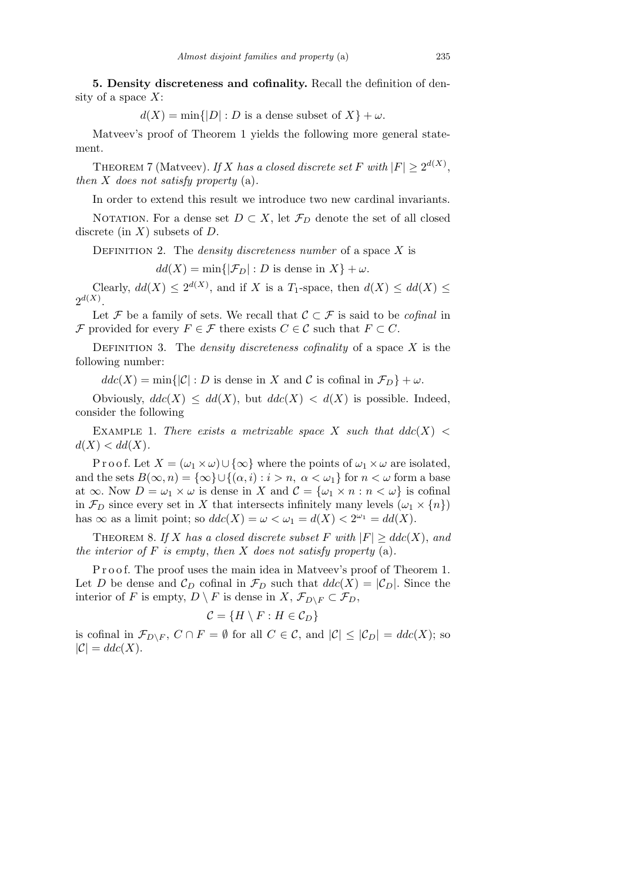**5. Density discreteness and cofinality.** Recall the definition of density of a space *X*:

 $d(X) = \min\{|D| : D$  is a dense subset of  $X\} + \omega$ .

Matveev's proof of Theorem 1 yields the following more general statement.

THEOREM 7 (Matveev). *If X has a closed discrete set F with*  $|F| \geq 2^{d(X)}$ , *then X does not satisfy property* (a)*.*

In order to extend this result we introduce two new cardinal invariants.

NOTATION. For a dense set  $D \subset X$ , let  $\mathcal{F}_D$  denote the set of all closed discrete (in *X*) subsets of *D*.

Definition 2. The *density discreteness number* of a space *X* is

 $dd(X) = \min\{|\mathcal{F}_D| : D \text{ is dense in } X\} + \omega.$ 

Clearly,  $dd(X) \leq 2^{d(X)}$ , and if *X* is a *T*<sub>1</sub>-space, then  $d(X) \leq dd(X) \leq$  $2^{d(X)}$ .

Let *F* be a family of sets. We recall that  $C \subset F$  is said to be *cofinal* in *F* provided for every  $F \in \mathcal{F}$  there exists  $C \in \mathcal{C}$  such that  $F \subset C$ .

Definition 3. The *density discreteness cofinality* of a space *X* is the following number:

 $ddc(X) = \min\{|\mathcal{C}| : D \text{ is dense in } X \text{ and } C \text{ is cofinal in } \mathcal{F}_D\} + \omega.$ 

Obviously,  $ddc(X) \leq dd(X)$ , but  $ddc(X) < d(X)$  is possible. Indeed, consider the following

EXAMPLE 1. There exists a metrizable space X such that  $ddc(X)$  $d(X) < dd(X)$ .

P r o o f. Let  $X = (\omega_1 \times \omega) \cup {\infty}$  where the points of  $\omega_1 \times \omega$  are isolated, and the sets  $B(\infty, n) = {\infty} \cup {\{(\alpha, i) : i > n, \alpha < \omega_1\} \text{ for } n < \omega \text{ form a base}}$ at  $\infty$ . Now  $D = \omega_1 \times \omega$  is dense in *X* and  $C = {\omega_1 \times n : n < \omega}$  is cofinal in  $\mathcal{F}_D$  since every set in *X* that intersects infinitely many levels  $(\omega_1 \times \{n\})$ has  $\infty$  as a limit point; so  $ddc(X) = \omega < \omega_1 = d(X) < 2^{\omega_1} = dd(X)$ .

THEOREM 8. If *X* has a closed discrete subset *F* with  $|F| \geq ddc(X)$ , and *the interior of F is empty*, *then X does not satisfy property* (a)*.*

P r o o f. The proof uses the main idea in Matveev's proof of Theorem 1. Let *D* be dense and  $\mathcal{C}_D$  cofinal in  $\mathcal{F}_D$  such that  $ddc(X) = |\mathcal{C}_D|$ . Since the interior of *F* is empty,  $D \setminus F$  is dense in  $X, \mathcal{F}_{D \setminus F} \subset \mathcal{F}_D$ ,

$$
\mathcal{C} = \{H \setminus F : H \in \mathcal{C}_D\}
$$

is cofinal in  $\mathcal{F}_{D\setminus F}$ ,  $C \cap F = \emptyset$  for all  $C \in \mathcal{C}$ , and  $|\mathcal{C}| \leq |\mathcal{C}_D| = d d c(X)$ ; so  $|\mathcal{C}| = ddc(X).$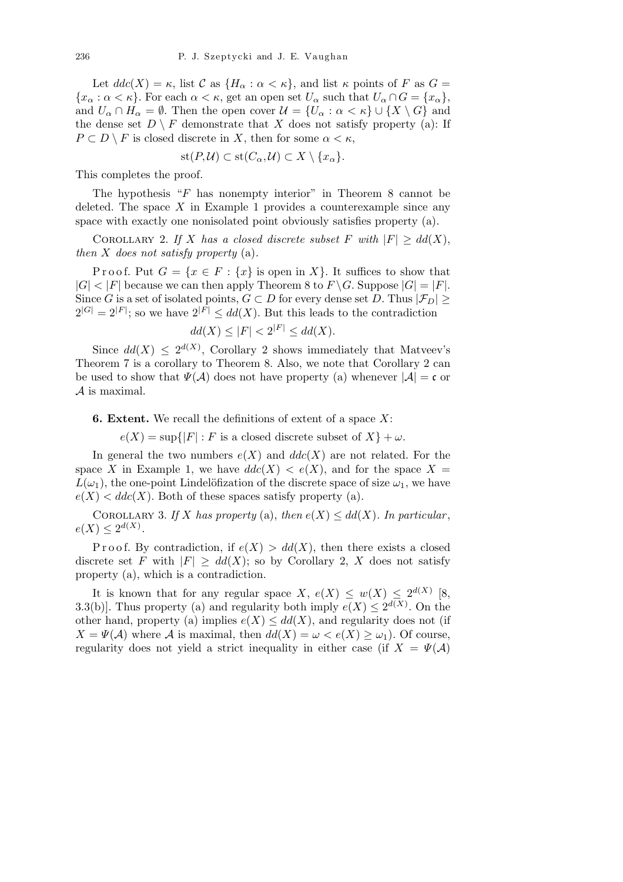Let  $ddc(X) = \kappa$ , list  $C$  as  $\{H_\alpha : \alpha < \kappa\}$ , and list  $\kappa$  points of  $F$  as  $G =$  ${x_{\alpha} : \alpha < \kappa}$ . For each  $\alpha < \kappa$ , get an open set  $U_{\alpha}$  such that  $U_{\alpha} \cap G = \{x_{\alpha}\},$ and  $U_\alpha \cap H_\alpha = \emptyset$ . Then the open cover  $\mathcal{U} = \{U_\alpha : \alpha < \kappa\} \cup \{X \setminus G\}$  and the dense set  $D \setminus F$  demonstrate that *X* does not satisfy property (a): If  $P \subset D \setminus F$  is closed discrete in *X*, then for some  $\alpha < \kappa$ ,

$$
st(P, \mathcal{U}) \subset st(C_{\alpha}, \mathcal{U}) \subset X \setminus \{x_{\alpha}\}.
$$

This completes the proof.

The hypothesis "*F* has nonempty interior" in Theorem 8 cannot be deleted. The space  $X$  in Example 1 provides a counterexample since any space with exactly one nonisolated point obviously satisfies property (a).

COROLLARY 2. *If X has a closed discrete subset F with*  $|F| \geq dd(X)$ , *then X does not satisfy property* (a)*.*

Proof. Put  $G = \{x \in F : \{x\}$  is open in X $\}$ . It suffices to show that  $|G| < |F|$  because we can then apply Theorem 8 to  $F \setminus G$ . Suppose  $|G| = |F|$ . Since *G* is a set of isolated points,  $G \subset D$  for every dense set  $D$ . Thus  $|\mathcal{F}_D| \ge$  $2^{|G|} = 2^{|F|}$ ; so we have  $2^{|F|} \leq dd(X)$ . But this leads to the contradiction

$$
dd(X) \le |F| < 2^{|F|} \le dd(X).
$$

Since  $dd(X) \leq 2^{d(X)}$ , Corollary 2 shows immediately that Matveev's Theorem 7 is a corollary to Theorem 8. Also, we note that Corollary 2 can be used to show that  $\Psi(\mathcal{A})$  does not have property (a) whenever  $|\mathcal{A}| = \mathfrak{c}$  or *A* is maximal.

**6. Extent.** We recall the definitions of extent of a space *X*:

 $e(X) = \sup\{|F| : F$  is a closed discrete subset of  $X\} + \omega$ .

In general the two numbers  $e(X)$  and  $ddc(X)$  are not related. For the space *X* in Example 1, we have  $ddc(X) < e(X)$ , and for the space  $X =$  $L(\omega_1)$ , the one-point Lindelöfization of the discrete space of size  $\omega_1$ , we have  $e(X) < dde(X)$ . Both of these spaces satisfy property (a).

COROLLARY 3. If *X* has property (a), then  $e(X) \leq dd(X)$ . In particular,  $e(X) \leq 2^{d(X)}$ .

Proof. By contradiction, if  $e(X) > dd(X)$ , then there exists a closed discrete set *F* with  $|F| \geq dd(X)$ ; so by Corollary 2, X does not satisfy property (a), which is a contradiction.

It is known that for any regular space  $X$ ,  $e(X) \leq w(X) \leq 2^{d(X)}$  [8, 3.3(b). Thus property (a) and regularity both imply  $e(X) \leq 2^{d(X)}$ . On the other hand, property (a) implies  $e(X) \leq dd(X)$ , and regularity does not (if  $X = \Psi(\mathcal{A})$  where  $\mathcal{A}$  is maximal, then  $dd(X) = \omega < e(X) \geq \omega_1$ ). Of course, regularity does not yield a strict inequality in either case (if  $X = \Psi(\mathcal{A})$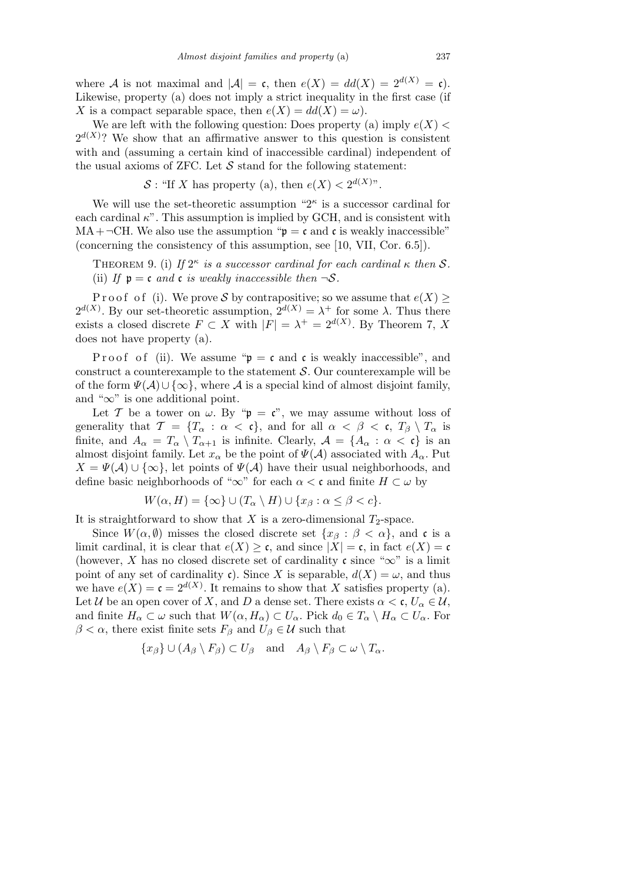where *A* is not maximal and  $|A| = \mathfrak{c}$ , then  $e(X) = dd(X) = 2^{d(X)} = \mathfrak{c}$ . Likewise, property (a) does not imply a strict inequality in the first case (if *X* is a compact separable space, then  $e(X) = dd(X) = \omega$ .

We are left with the following question: Does property (a) imply  $e(X)$  $2^{d(X)}$ ? We show that an affirmative answer to this question is consistent with and (assuming a certain kind of inaccessible cardinal) independent of the usual axioms of ZFC. Let  $S$  stand for the following statement:

S : "If *X* has property (a), then  $e(X) < 2^{d(X)}$ ".

We will use the set-theoretic assumption  $2^k$  is a successor cardinal for each cardinal  $\kappa$ ". This assumption is implied by GCH, and is consistent with  $MA + \neg CH$ . We also use the assumption " $p = c$  and c is weakly inaccessible" (concerning the consistency of this assumption, see [10, VII, Cor. 6.5]).

THEOREM 9. (i) If  $2^{\kappa}$  *is a successor cardinal for each cardinal*  $\kappa$  *then*  $S$ *.* (ii) *If*  $\mathfrak{p} = \mathfrak{c}$  *and*  $\mathfrak{c}$  *is weakly inaccessible then*  $\neg S$ *.* 

P r o o f o f (i). We prove S by contrapositive; so we assume that  $e(X)$  $2^{d(X)}$ . By our set-theoretic assumption,  $2^{d(X)} = \lambda^+$  for some  $\lambda$ . Thus there exists a closed discrete  $F \subset X$  with  $|F| = \lambda^+ = 2^{d(X)}$ . By Theorem 7, X does not have property (a).

P r o o f (ii). We assume " $\mathfrak{p} = \mathfrak{c}$  and  $\mathfrak{c}$  is weakly inaccessible", and construct a counterexample to the statement *S*. Our counterexample will be of the form  $\Psi(\mathcal{A}) \cup \{\infty\}$ , where  $\mathcal{A}$  is a special kind of almost disjoint family, and "*∞*" is one additional point.

Let *T* be a tower on  $\omega$ . By " $\mathfrak{p} = \mathfrak{c}$ ", we may assume without loss of generality that  $\mathcal{T} = \{T_\alpha : \alpha < \mathfrak{c}\}\$ , and for all  $\alpha < \beta < \mathfrak{c}$ ,  $T_\beta \setminus T_\alpha$  is finite, and  $A_{\alpha} = T_{\alpha} \setminus T_{\alpha+1}$  is infinite. Clearly,  $A = \{A_{\alpha} : \alpha < \mathfrak{c}\}\)$  is an almost disjoint family. Let  $x_\alpha$  be the point of  $\Psi(\mathcal{A})$  associated with  $A_\alpha$ . Put  $X = \Psi(\mathcal{A}) \cup \{\infty\}$ , let points of  $\Psi(\mathcal{A})$  have their usual neighborhoods, and define basic neighborhoods of " $\infty$ " for each  $\alpha < \mathfrak{c}$  and finite  $H \subset \omega$  by

$$
W(\alpha, H) = \{\infty\} \cup (T_\alpha \setminus H) \cup \{x_\beta : \alpha \le \beta < c\}.
$$

It is straightforward to show that  $X$  is a zero-dimensional  $T_2$ -space.

Since  $W(\alpha, \emptyset)$  misses the closed discrete set  $\{x_{\beta} : \beta < \alpha\}$ , and c is a limit cardinal, it is clear that  $e(X) \geq \mathfrak{c}$ , and since  $|X| = \mathfrak{c}$ , in fact  $e(X) = \mathfrak{c}$ (however, *X* has no closed discrete set of cardinality  $\mathfrak{c}$  since " $\infty$ " is a limit point of any set of cardinality c). Since *X* is separable,  $d(X) = \omega$ , and thus we have  $e(X) = \mathfrak{c} = 2^{d(X)}$ . It remains to show that X satisfies property (a). Let *U* be an open cover of *X*, and *D* a dense set. There exists  $\alpha < \mathfrak{c}, U_{\alpha} \in \mathcal{U}$ , and finite  $H_{\alpha} \subset \omega$  such that  $W(\alpha, H_{\alpha}) \subset U_{\alpha}$ . Pick  $d_0 \in T_{\alpha} \setminus H_{\alpha} \subset U_{\alpha}$ . For  $\beta < \alpha$ , there exist finite sets  $F_\beta$  and  $U_\beta \in \mathcal{U}$  such that

$$
\{x_{\beta}\}\cup (A_{\beta}\setminus F_{\beta})\subset U_{\beta} \quad \text{and} \quad A_{\beta}\setminus F_{\beta}\subset \omega\setminus T_{\alpha}.
$$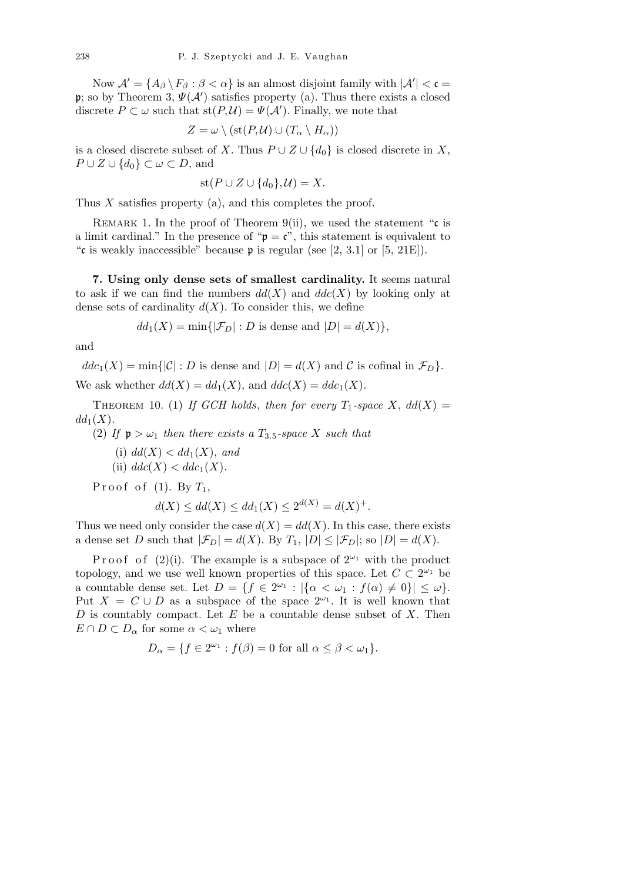Now  $\mathcal{A}' = \{A_\beta \setminus F_\beta : \beta < \alpha\}$  is an almost disjoint family with  $|\mathcal{A}'| < \mathfrak{c} =$ p; so by Theorem 3,  $\Psi(\mathcal{A}')$  satisfies property (a). Thus there exists a closed discrete  $P \subset \omega$  such that  $\text{st}(P, \mathcal{U}) = \Psi(\mathcal{A}')$ . Finally, we note that

$$
Z = \omega \setminus (\mathrm{st}(P, \mathcal{U}) \cup (T_{\alpha} \setminus H_{\alpha}))
$$

is a closed discrete subset of *X*. Thus  $P \cup Z \cup \{d_0\}$  is closed discrete in *X*, *P* ∪ *Z* ∪ { $d_0$ } ⊂  $\omega$  ⊂ *D*, and

$$
\mathrm{st}(P\cup Z\cup \{d_0\},\mathcal{U})=X.
$$

Thus *X* satisfies property (a), and this completes the proof.

REMARK 1. In the proof of Theorem 9(ii), we used the statement " $\mathfrak{c}$  is a limit cardinal." In the presence of " $\mathfrak{p} = \mathfrak{c}$ ", this statement is equivalent to "c is weakly inaccessible" because  $\mathfrak p$  is regular (see [2, 3.1] or [5, 21E]).

**7. Using only dense sets of smallest cardinality.** It seems natural to ask if we can find the numbers  $dd(X)$  and  $ddc(X)$  by looking only at dense sets of cardinality  $d(X)$ . To consider this, we define

$$
dd_1(X) = \min\{|\mathcal{F}_D| : D \text{ is dense and } |D| = d(X)\},
$$

and

 $ddc_1(X) = \min\{|\mathcal{C}| : D \text{ is dense and } |D| = d(X) \text{ and } C \text{ is cofinal in } \mathcal{F}_D\}.$ 

We ask whether  $dd(X) = dd_1(X)$ , and  $ddc(X) = dd_c(X)$ .

THEOREM 10. (1) If GCH holds, then for every  $T_1$ -space  $X$ ,  $dd(X) =$  $dd_1(X)$ .

(2) If  $p > \omega_1$  then there exists a  $T_{3.5}$ -space X such that

(i)  $dd(X) < dd_1(X)$ , and (ii)  $ddc(X) < ddc_1(X)$ .

Proof of  $(1)$ . By  $T_1$ ,

$$
d(X) \le dd(X) \le dd_1(X) \le 2^{d(X)} = d(X)^+.
$$

Thus we need only consider the case  $d(X) = dd(X)$ . In this case, there exists a dense set *D* such that  $|\mathcal{F}_D| = d(X)$ . By  $T_1$ ,  $|D| \leq |\mathcal{F}_D|$ ; so  $|D| = d(X)$ .

P r o o f (2)(i). The example is a subspace of  $2^{\omega_1}$  with the product topology, and we use well known properties of this space. Let  $C \subset 2^{\omega_1}$  be a countable dense set. Let  $D = \{ f \in 2^{\omega_1} : |\{\alpha < \omega_1 : f(\alpha) \neq 0\}| \leq \omega \}.$ Put  $X = C \cup D$  as a subspace of the space  $2^{\omega_1}$ . It is well known that *D* is countably compact. Let *E* be a countable dense subset of *X*. Then  $E \cap D \subset D_\alpha$  for some  $\alpha < \omega_1$  where

$$
D_{\alpha} = \{ f \in 2^{\omega_1} : f(\beta) = 0 \text{ for all } \alpha \le \beta < \omega_1 \}.
$$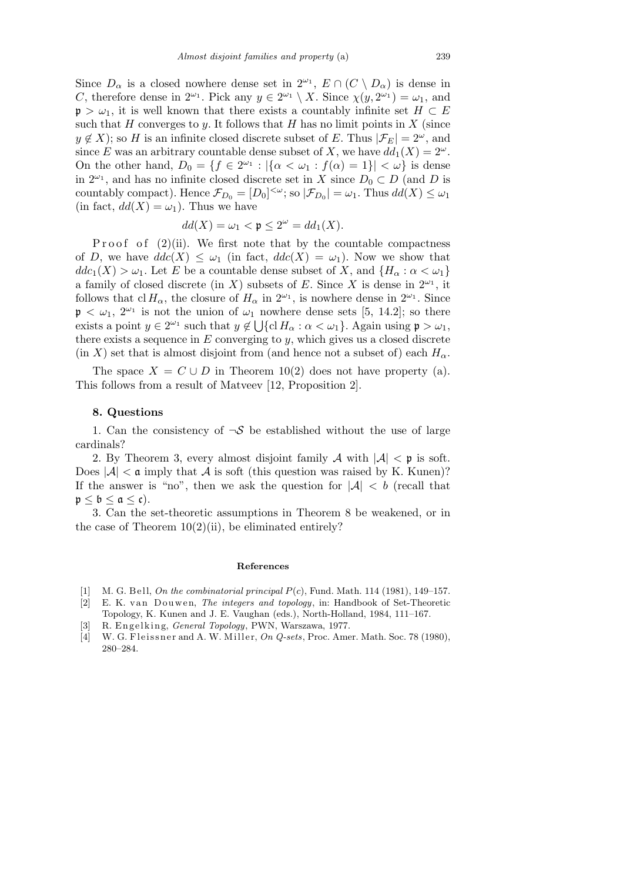Since  $D_{\alpha}$  is a closed nowhere dense set in  $2^{\omega_1}$ ,  $E \cap (C \setminus D_{\alpha})$  is dense in *C*, therefore dense in  $2^{\omega_1}$ . Pick any  $y \in 2^{\omega_1} \setminus X$ . Since  $\chi(y, 2^{\omega_1}) = \omega_1$ , and  $\mathfrak{p} > \omega_1$ , it is well known that there exists a countably infinite set  $H \subset E$ such that  $H$  converges to  $y$ . It follows that  $H$  has no limit points in  $X$  (since  $y \notin X$ ; so *H* is an infinite closed discrete subset of *E*. Thus  $|\mathcal{F}_E| = 2^{\omega}$ , and since *E* was an arbitrary countable dense subset of *X*, we have  $dd_1(X) = 2^{\omega}$ . On the other hand,  $D_0 = \{ f \in 2^{\omega_1} : |\{\alpha < \omega_1 : f(\alpha) = 1\}| < \omega \}$  is dense in  $2^{\omega_1}$ , and has no infinite closed discrete set in *X* since  $D_0 \subset D$  (and *D* is countably compact). Hence  $\mathcal{F}_{D_0} = [D_0]^{<\omega}$ ; so  $|\mathcal{F}_{D_0}| = \omega_1$ . Thus  $dd(X) \leq \omega_1$ (in fact,  $dd(X) = \omega_1$ ). Thus we have

$$
dd(X) = \omega_1 < \mathfrak{p} \le 2^{\omega} = dd_1(X).
$$

Proof of  $(2)(ii)$ . We first note that by the countable compactness of *D*, we have  $ddc(X) \leq \omega_1$  (in fact,  $ddc(X) = \omega_1$ ). Now we show that  $ddc_1(X) > \omega_1$ . Let *E* be a countable dense subset of *X*, and  ${H_\alpha : \alpha < \omega_1}$ a family of closed discrete (in *X*) subsets of *E*. Since *X* is dense in  $2^{\omega_1}$ , it follows that cl  $H_{\alpha}$ , the closure of  $H_{\alpha}$  in  $2^{\omega_1}$ , is nowhere dense in  $2^{\omega_1}$ . Since  $\mathfrak{p} < \omega_1$ ,  $2^{\omega_1}$  is not the union of  $\omega_1$  nowhere dense sets [5, 14.2]; so there exists a point  $y \in 2^{\omega_1}$  such that  $y \notin \bigcup \{ \text{cl } H_\alpha : \alpha < \omega_1 \}$ . Again using  $\mathfrak{p} > \omega_1$ , there exists a sequence in *E* converging to *y*, which gives us a closed discrete (in *X*) set that is almost disjoint from (and hence not a subset of) each  $H_{\alpha}$ .

The space  $X = C \cup D$  in Theorem 10(2) does not have property (a). This follows from a result of Matveev [12, Proposition 2].

## **8. Questions**

1. Can the consistency of  $\neg S$  be established without the use of large cardinals?

2. By Theorem 3, every almost disjoint family *A* with *|A| <* p is soft. Does  $|\mathcal{A}| < \mathfrak{a}$  imply that  $\mathcal A$  is soft (this question was raised by K. Kunen)? If the answer is "no", then we ask the question for  $|A| < b$  (recall that  $p < b < a < c$ ).

3. Can the set-theoretic assumptions in Theorem 8 be weakened, or in the case of Theorem  $10(2)(ii)$ , be eliminated entirely?

## **References**

- [1] M. G. B ell, *On the combinatorial principal P*(*c*), Fund. Math. 114 (1981), 149–157.
- [2] E. K. van Douwen, *The integers and topology*, in: Handbook of Set-Theoretic
- Topology, K. Kunen and J. E. Vaughan (eds.), North-Holland, 1984, 111–167. [3] R. E n g el ki n g, *General Topology*, PWN, Warszawa, 1977.
- 
- [4] W. G. Fleissner and A. W. Miller, *On Q-sets*, Proc. Amer. Math. Soc. 78 (1980), 280–284.